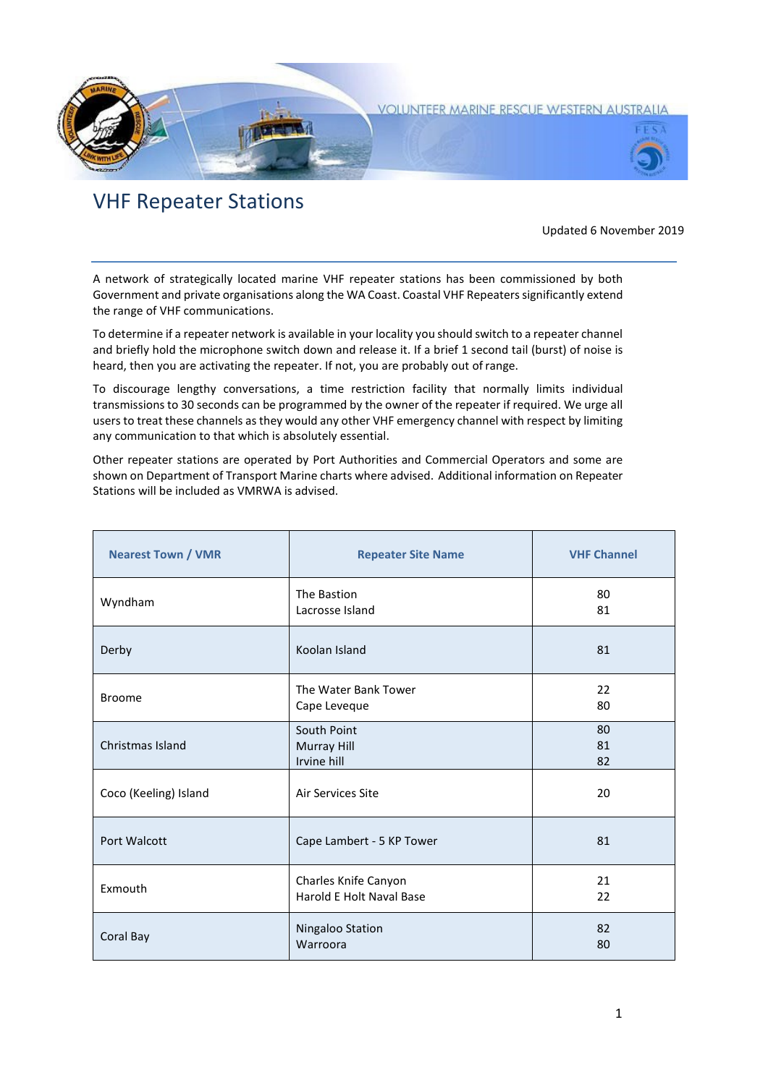

## VHF Repeater Stations

## Updated 6 November 2019

A network of strategically located marine VHF repeater stations has been commissioned by both Government and private organisations along the WA Coast. Coastal VHF Repeaters significantly extend the range of VHF communications.

To determine if a repeater network is available in your locality you should switch to a repeater channel and briefly hold the microphone switch down and release it. If a brief 1 second tail (burst) of noise is heard, then you are activating the repeater. If not, you are probably out of range.

To discourage lengthy conversations, a time restriction facility that normally limits individual transmissions to 30 seconds can be programmed by the owner of the repeater if required. We urge all users to treat these channels as they would any other VHF emergency channel with respect by limiting any communication to that which is absolutely essential.

Other repeater stations are operated by Port Authorities and Commercial Operators and some are shown on Department of Transport Marine charts where advised. Additional information on Repeater Stations will be included as VMRWA is advised.

| <b>Nearest Town / VMR</b> | <b>Repeater Site Name</b>                        | <b>VHF Channel</b> |
|---------------------------|--------------------------------------------------|--------------------|
| Wyndham                   | The Bastion<br>Lacrosse Island                   | 80<br>81           |
| Derby                     | Koolan Island                                    | 81                 |
| <b>Broome</b>             | The Water Bank Tower<br>Cape Leveque             | 22<br>80           |
| Christmas Island          | South Point<br>Murray Hill<br>Irvine hill        | 80<br>81<br>82     |
| Coco (Keeling) Island     | Air Services Site                                | 20                 |
| Port Walcott              | Cape Lambert - 5 KP Tower                        | 81                 |
| Exmouth                   | Charles Knife Canyon<br>Harold E Holt Naval Base | 21<br>22           |
| Coral Bay                 | Ningaloo Station<br>Warroora                     | 82<br>80           |